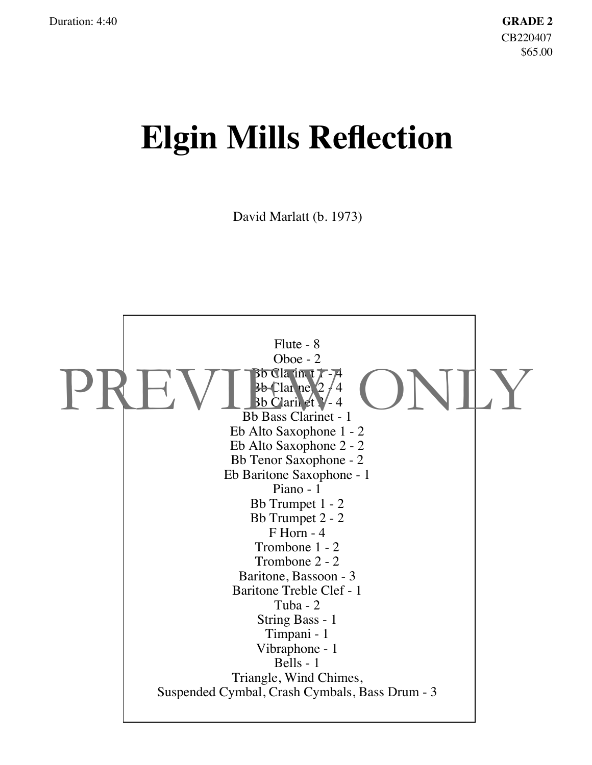## **Elgin Mills Reflection**

David Marlatt (b. 1973)

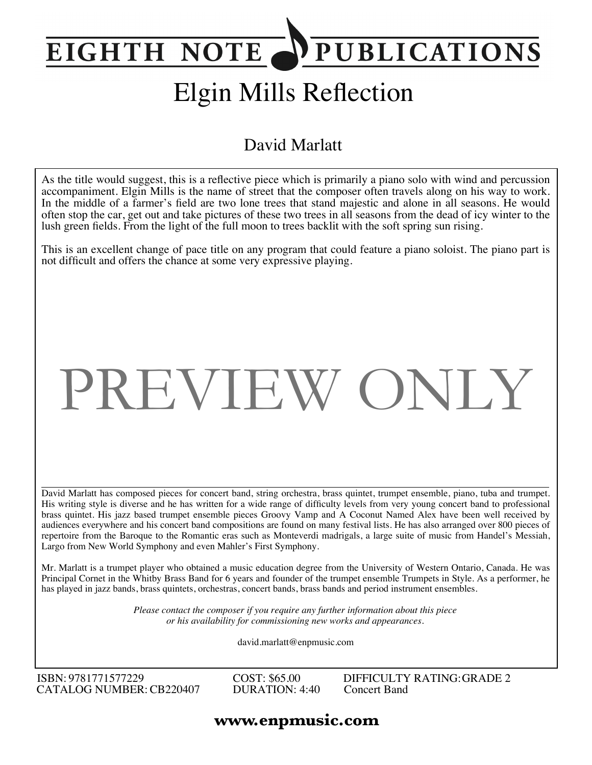#### PUBLICATIONS **EIGHTH NOTE**

## Elgin Mills Reflection

#### David Marlatt

As the title would suggest, this is a reflective piece which is primarily a piano solo with wind and percussion accompaniment. Elgin Mills is the name of street that the composer often travels along on his way to work. In the middle of a farmer's field are two lone trees that stand majestic and alone in all seasons. He would often stop the car, get out and take pictures of these two trees in all seasons from the dead of icy winter to the lush green fields. From the light of the full moon to trees backlit with the soft spring sun rising.

This is an excellent change of pace title on any program that could feature a piano soloist. The piano part is not difficult and offers the chance at some very expressive playing.

# PREVIEW ONLY

David Marlatt has composed pieces for concert band, string orchestra, brass quintet, trumpet ensemble, piano, tuba and trumpet. His writing style is diverse and he has written for a wide range of difficulty levels from very young concert band to professional brass quintet. His jazz based trumpet ensemble pieces Groovy Vamp and A Coconut Named Alex have been well received by audiences everywhere and his concert band compositions are found on many festival lists. He has also arranged over 800 pieces of repertoire from the Baroque to the Romantic eras such as Monteverdi madrigals, a large suite of music from Handel's Messiah, Largo from New World Symphony and even Mahler's First Symphony.

Mr. Marlatt is a trumpet player who obtained a music education degree from the University of Western Ontario, Canada. He was Principal Cornet in the Whitby Brass Band for 6 years and founder of the trumpet ensemble Trumpets in Style. As a performer, he has played in jazz bands, brass quintets, orchestras, concert bands, brass bands and period instrument ensembles.

> *Please contact the composer if you require any further information about this piece or his availability for commissioning new works and appearances.*

> > david.marlatt@enpmusic.com

ISBN: 9781771577229 CATALOG NUMBER:CB220407

COST: \$65.00 DURATION: 4:40 DIFFICULTY RATING:GRADE 2 Concert Band

#### **www.enpmusic.com**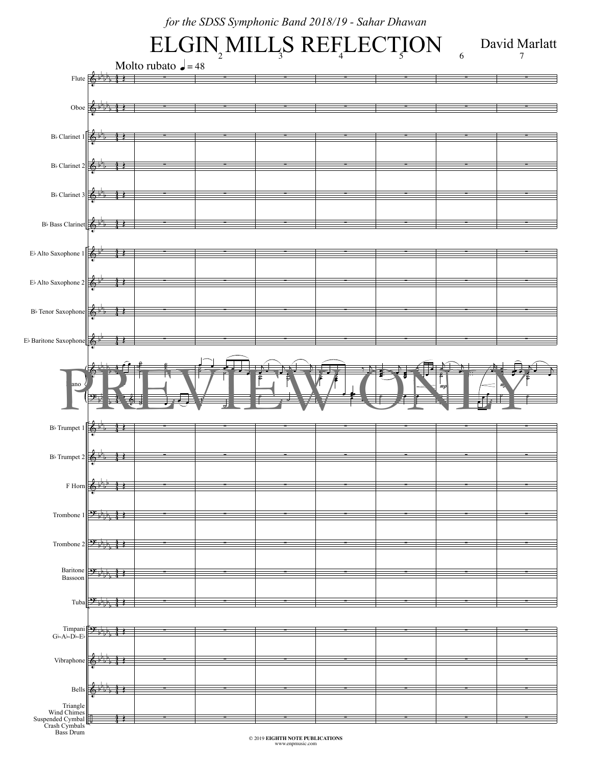*for the SDSS Symphonic Band 2018/19 - Sahar Dhawan*

### ELGIN<sub>2</sub> MILL<sub>3</sub>S REF<sub>4</sub>LECTION 6 David Marlatt

7

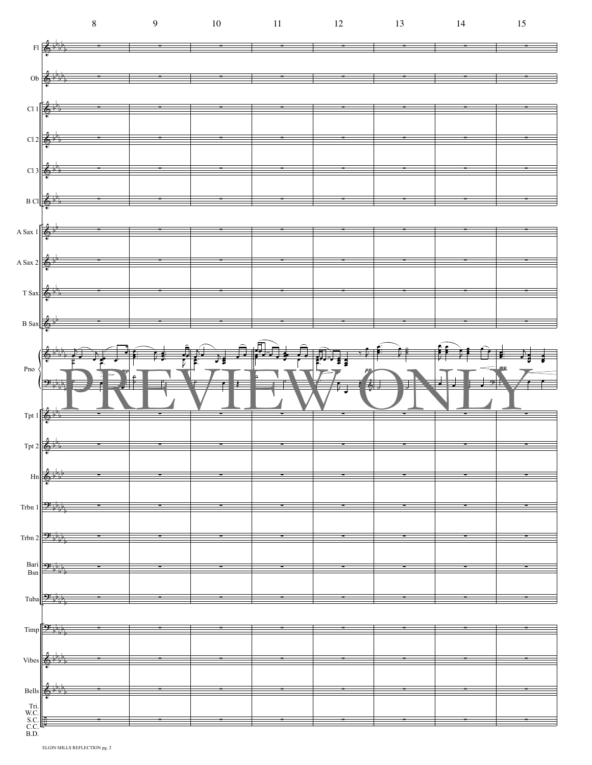

ELGIN MILLS REFLECTION pg. 2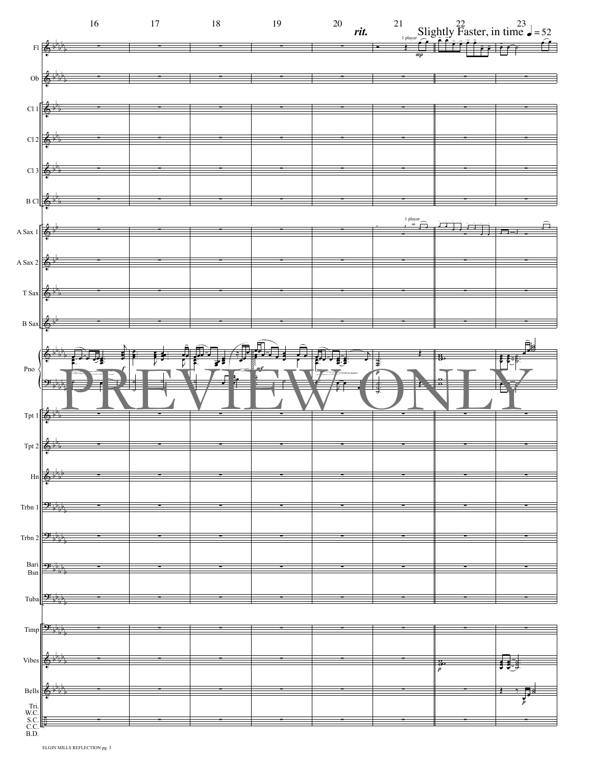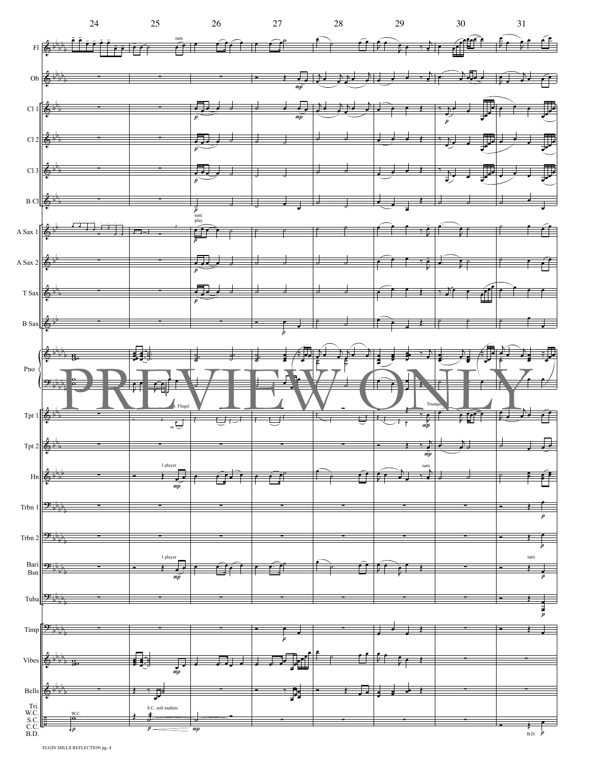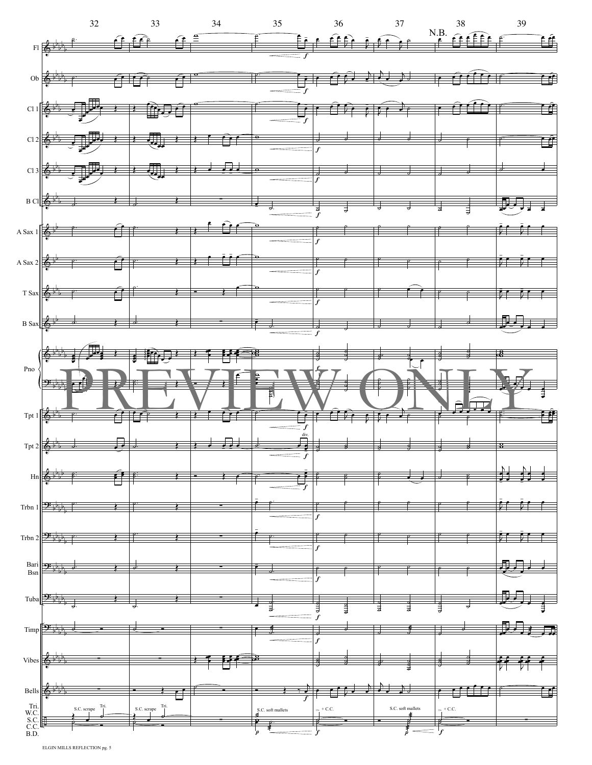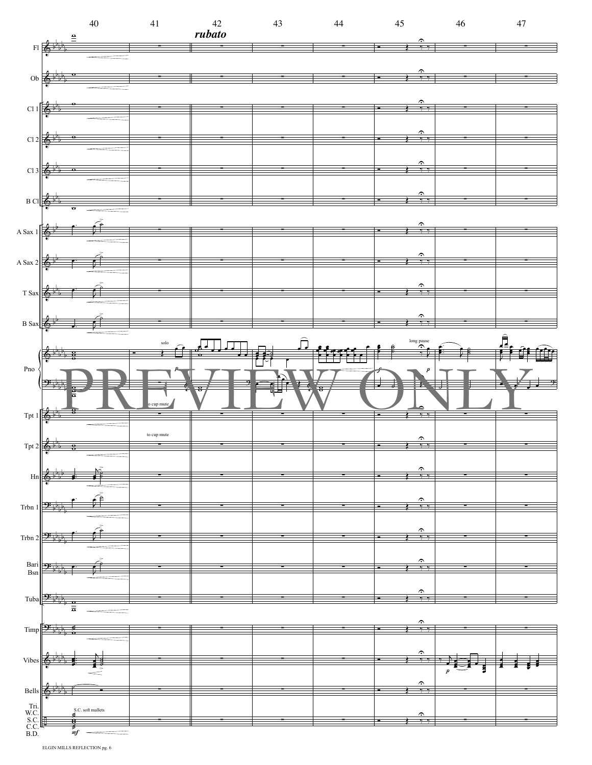